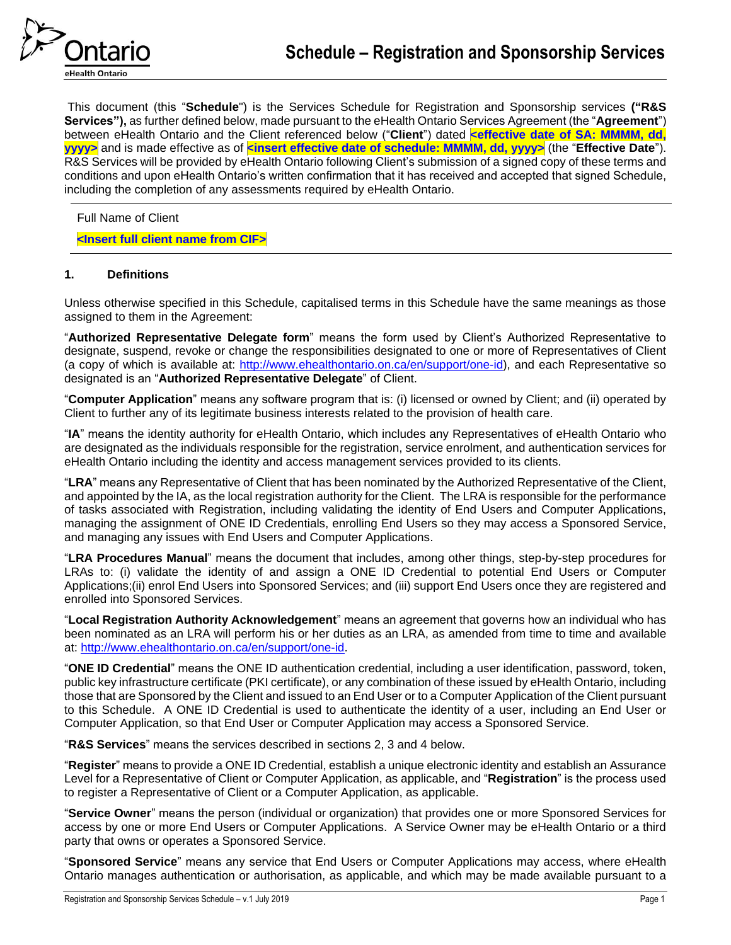

This document (this "**Schedule**") is the Services Schedule for Registration and Sponsorship services **("R&S Services"),** as further defined below, made pursuant to the eHealth Ontario Services Agreement (the "**Agreement**") between eHealth Ontario and the Client referenced below ("Client") dated **<effective date of SA: MMMM, dd, yyyy>** and is made effective as of **<insert effective date of schedule: MMMM, dd, yyyy>** (the "**Effective Date**"). R&S Services will be provided by eHealth Ontario following Client's submission of a signed copy of these terms and conditions and upon eHealth Ontario's written confirmation that it has received and accepted that signed Schedule, including the completion of any assessments required by eHealth Ontario.

Full Name of Client

## **<Insert full client name from CIF>**

## **1. Definitions**

Unless otherwise specified in this Schedule, capitalised terms in this Schedule have the same meanings as those assigned to them in the Agreement:

"**Authorized Representative Delegate form**" means the form used by Client's Authorized Representative to designate, suspend, revoke or change the responsibilities designated to one or more of Representatives of Client (a copy of which is available at: [http://www.ehealthontario.on.ca/en/support/one-id\)](http://www.ehealthontario.on.ca/en/support/one-id), and each Representative so designated is an "**Authorized Representative Delegate**" of Client.

"**Computer Application**" means any software program that is: (i) licensed or owned by Client; and (ii) operated by Client to further any of its legitimate business interests related to the provision of health care.

"**IA**" means the identity authority for eHealth Ontario, which includes any Representatives of eHealth Ontario who are designated as the individuals responsible for the registration, service enrolment, and authentication services for eHealth Ontario including the identity and access management services provided to its clients.

"**LRA**" means any Representative of Client that has been nominated by the Authorized Representative of the Client, and appointed by the IA, as the local registration authority for the Client. The LRA is responsible for the performance of tasks associated with Registration, including validating the identity of End Users and Computer Applications, managing the assignment of ONE ID Credentials, enrolling End Users so they may access a Sponsored Service, and managing any issues with End Users and Computer Applications.

"**LRA Procedures Manual**" means the document that includes, among other things, step-by-step procedures for LRAs to: (i) validate the identity of and assign a ONE ID Credential to potential End Users or Computer Applications;(ii) enrol End Users into Sponsored Services; and (iii) support End Users once they are registered and enrolled into Sponsored Services.

"**Local Registration Authority Acknowledgement**" means an agreement that governs how an individual who has been nominated as an LRA will perform his or her duties as an LRA, as amended from time to time and available at: [http://www.ehealthontario.on.ca/en/support/one-id.](http://www.ehealthontario.on.ca/en/support/one-id)

"**ONE ID Credential**" means the ONE ID authentication credential, including a user identification, password, token, public key infrastructure certificate (PKI certificate), or any combination of these issued by eHealth Ontario, including those that are Sponsored by the Client and issued to an End User or to a Computer Application of the Client pursuant to this Schedule. A ONE ID Credential is used to authenticate the identity of a user, including an End User or Computer Application, so that End User or Computer Application may access a Sponsored Service.

"**R&S Services**" means the services described in sections 2, 3 and 4 below.

"**Register**" means to provide a ONE ID Credential, establish a unique electronic identity and establish an Assurance Level for a Representative of Client or Computer Application, as applicable, and "**Registration**" is the process used to register a Representative of Client or a Computer Application, as applicable.

"**Service Owner**" means the person (individual or organization) that provides one or more Sponsored Services for access by one or more End Users or Computer Applications. A Service Owner may be eHealth Ontario or a third party that owns or operates a Sponsored Service.

"**Sponsored Service**" means any service that End Users or Computer Applications may access, where eHealth Ontario manages authentication or authorisation, as applicable, and which may be made available pursuant to a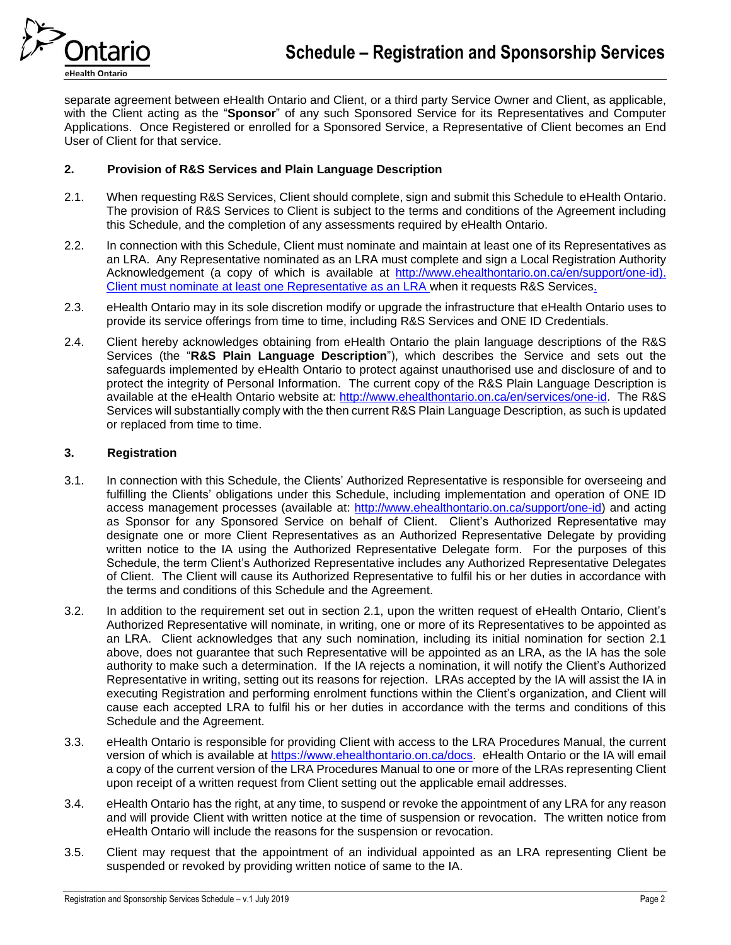

separate agreement between eHealth Ontario and Client, or a third party Service Owner and Client, as applicable, with the Client acting as the "**Sponsor**" of any such Sponsored Service for its Representatives and Computer Applications. Once Registered or enrolled for a Sponsored Service, a Representative of Client becomes an End User of Client for that service.

## **2. Provision of R&S Services and Plain Language Description**

- 2.1. When requesting R&S Services, Client should complete, sign and submit this Schedule to eHealth Ontario. The provision of R&S Services to Client is subject to the terms and conditions of the Agreement including this Schedule, and the completion of any assessments required by eHealth Ontario.
- 2.2. In connection with this Schedule, Client must nominate and maintain at least one of its Representatives as an LRA. Any Representative nominated as an LRA must complete and sign a Local Registration Authority Acknowledgement (a copy of which is available at [http://www.ehealthontario.on.ca/en/support/one-id\)](http://www.ehealthontario.on.ca/en/support/one-id). Client must nominate at least one Representative as an LRA when it requests R&S Services.
- 2.3. eHealth Ontario may in its sole discretion modify or upgrade the infrastructure that eHealth Ontario uses to provide its service offerings from time to time, including R&S Services and ONE ID Credentials.
- 2.4. Client hereby acknowledges obtaining from eHealth Ontario the plain language descriptions of the R&S Services (the "**R&S Plain Language Description**"), which describes the Service and sets out the safeguards implemented by eHealth Ontario to protect against unauthorised use and disclosure of and to protect the integrity of Personal Information. The current copy of the R&S Plain Language Description is available at the eHealth Ontario website at: [http://www.ehealthontario.on.ca/en/services/one-id.](http://www.ehealthontario.on.ca/en/services/one-id) The R&S Services will substantially comply with the then current R&S Plain Language Description, as such is updated or replaced from time to time.

## **3. Registration**

- 3.1. In connection with this Schedule, the Clients' Authorized Representative is responsible for overseeing and fulfilling the Clients' obligations under this Schedule, including implementation and operation of ONE ID access management processes (available at: [http://www.ehealthontario.on.ca/support/one-id\)](http://www.ehealthontario.on.ca/support/one-id) and acting as Sponsor for any Sponsored Service on behalf of Client. Client's Authorized Representative may designate one or more Client Representatives as an Authorized Representative Delegate by providing written notice to the IA using the Authorized Representative Delegate form. For the purposes of this Schedule, the term Client's Authorized Representative includes any Authorized Representative Delegates of Client. The Client will cause its Authorized Representative to fulfil his or her duties in accordance with the terms and conditions of this Schedule and the Agreement.
- 3.2. In addition to the requirement set out in section 2.1, upon the written request of eHealth Ontario, Client's Authorized Representative will nominate, in writing, one or more of its Representatives to be appointed as an LRA. Client acknowledges that any such nomination, including its initial nomination for section 2.1 above, does not guarantee that such Representative will be appointed as an LRA, as the IA has the sole authority to make such a determination. If the IA rejects a nomination, it will notify the Client's Authorized Representative in writing, setting out its reasons for rejection. LRAs accepted by the IA will assist the IA in executing Registration and performing enrolment functions within the Client's organization, and Client will cause each accepted LRA to fulfil his or her duties in accordance with the terms and conditions of this Schedule and the Agreement.
- 3.3. eHealth Ontario is responsible for providing Client with access to the LRA Procedures Manual, the current version of which is available at [https://www.ehealthontario.on.ca/docs.](https://www.ehealthontario.on.ca/docs) eHealth Ontario or the IA will email a copy of the current version of the LRA Procedures Manual to one or more of the LRAs representing Client upon receipt of a written request from Client setting out the applicable email addresses.
- 3.4. eHealth Ontario has the right, at any time, to suspend or revoke the appointment of any LRA for any reason and will provide Client with written notice at the time of suspension or revocation. The written notice from eHealth Ontario will include the reasons for the suspension or revocation.
- 3.5. Client may request that the appointment of an individual appointed as an LRA representing Client be suspended or revoked by providing written notice of same to the IA.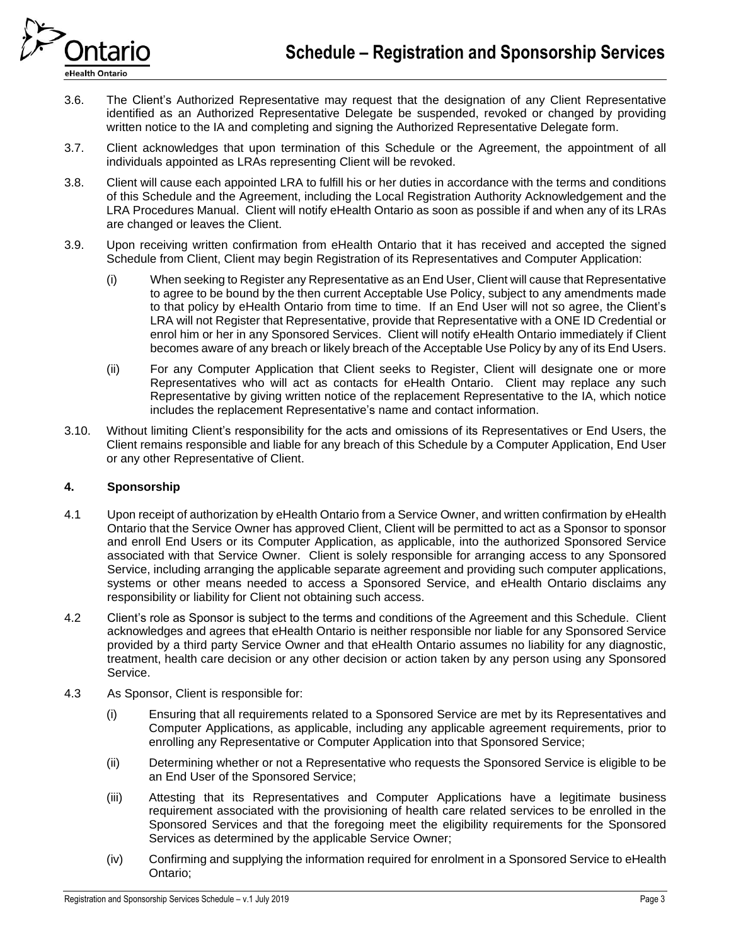

- 3.6. The Client's Authorized Representative may request that the designation of any Client Representative identified as an Authorized Representative Delegate be suspended, revoked or changed by providing written notice to the IA and completing and signing the Authorized Representative Delegate form.
- 3.7. Client acknowledges that upon termination of this Schedule or the Agreement, the appointment of all individuals appointed as LRAs representing Client will be revoked.
- 3.8. Client will cause each appointed LRA to fulfill his or her duties in accordance with the terms and conditions of this Schedule and the Agreement, including the Local Registration Authority Acknowledgement and the LRA Procedures Manual. Client will notify eHealth Ontario as soon as possible if and when any of its LRAs are changed or leaves the Client.
- 3.9. Upon receiving written confirmation from eHealth Ontario that it has received and accepted the signed Schedule from Client, Client may begin Registration of its Representatives and Computer Application:
	- (i) When seeking to Register any Representative as an End User, Client will cause that Representative to agree to be bound by the then current Acceptable Use Policy, subject to any amendments made to that policy by eHealth Ontario from time to time. If an End User will not so agree, the Client's LRA will not Register that Representative, provide that Representative with a ONE ID Credential or enrol him or her in any Sponsored Services. Client will notify eHealth Ontario immediately if Client becomes aware of any breach or likely breach of the Acceptable Use Policy by any of its End Users.
	- (ii) For any Computer Application that Client seeks to Register, Client will designate one or more Representatives who will act as contacts for eHealth Ontario. Client may replace any such Representative by giving written notice of the replacement Representative to the IA, which notice includes the replacement Representative's name and contact information.
- 3.10. Without limiting Client's responsibility for the acts and omissions of its Representatives or End Users, the Client remains responsible and liable for any breach of this Schedule by a Computer Application, End User or any other Representative of Client.

# **4. Sponsorship**

- 4.1 Upon receipt of authorization by eHealth Ontario from a Service Owner, and written confirmation by eHealth Ontario that the Service Owner has approved Client, Client will be permitted to act as a Sponsor to sponsor and enroll End Users or its Computer Application, as applicable, into the authorized Sponsored Service associated with that Service Owner. Client is solely responsible for arranging access to any Sponsored Service, including arranging the applicable separate agreement and providing such computer applications, systems or other means needed to access a Sponsored Service, and eHealth Ontario disclaims any responsibility or liability for Client not obtaining such access.
- 4.2 Client's role as Sponsor is subject to the terms and conditions of the Agreement and this Schedule. Client acknowledges and agrees that eHealth Ontario is neither responsible nor liable for any Sponsored Service provided by a third party Service Owner and that eHealth Ontario assumes no liability for any diagnostic, treatment, health care decision or any other decision or action taken by any person using any Sponsored Service.
- 4.3 As Sponsor, Client is responsible for:
	- (i) Ensuring that all requirements related to a Sponsored Service are met by its Representatives and Computer Applications, as applicable, including any applicable agreement requirements, prior to enrolling any Representative or Computer Application into that Sponsored Service;
	- (ii) Determining whether or not a Representative who requests the Sponsored Service is eligible to be an End User of the Sponsored Service;
	- (iii) Attesting that its Representatives and Computer Applications have a legitimate business requirement associated with the provisioning of health care related services to be enrolled in the Sponsored Services and that the foregoing meet the eligibility requirements for the Sponsored Services as determined by the applicable Service Owner;
	- (iv) Confirming and supplying the information required for enrolment in a Sponsored Service to eHealth Ontario;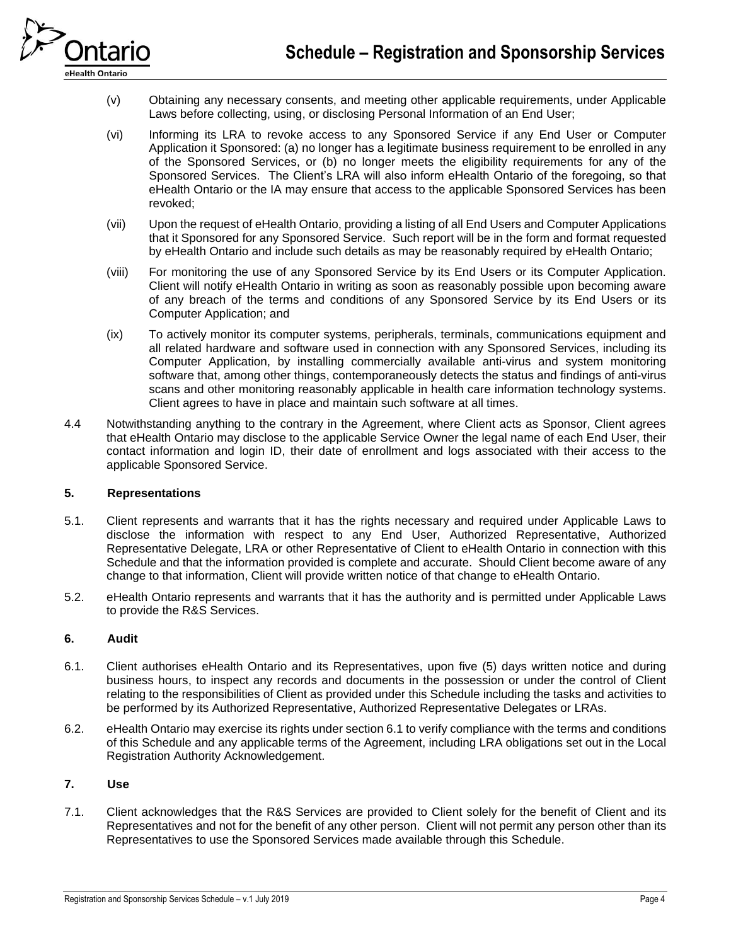

- (v) Obtaining any necessary consents, and meeting other applicable requirements, under Applicable Laws before collecting, using, or disclosing Personal Information of an End User;
- (vi) Informing its LRA to revoke access to any Sponsored Service if any End User or Computer Application it Sponsored: (a) no longer has a legitimate business requirement to be enrolled in any of the Sponsored Services, or (b) no longer meets the eligibility requirements for any of the Sponsored Services. The Client's LRA will also inform eHealth Ontario of the foregoing, so that eHealth Ontario or the IA may ensure that access to the applicable Sponsored Services has been revoked;
- (vii) Upon the request of eHealth Ontario, providing a listing of all End Users and Computer Applications that it Sponsored for any Sponsored Service. Such report will be in the form and format requested by eHealth Ontario and include such details as may be reasonably required by eHealth Ontario;
- (viii) For monitoring the use of any Sponsored Service by its End Users or its Computer Application. Client will notify eHealth Ontario in writing as soon as reasonably possible upon becoming aware of any breach of the terms and conditions of any Sponsored Service by its End Users or its Computer Application; and
- (ix) To actively monitor its computer systems, peripherals, terminals, communications equipment and all related hardware and software used in connection with any Sponsored Services, including its Computer Application, by installing commercially available anti-virus and system monitoring software that, among other things, contemporaneously detects the status and findings of anti-virus scans and other monitoring reasonably applicable in health care information technology systems. Client agrees to have in place and maintain such software at all times.
- 4.4 Notwithstanding anything to the contrary in the Agreement, where Client acts as Sponsor, Client agrees that eHealth Ontario may disclose to the applicable Service Owner the legal name of each End User, their contact information and login ID, their date of enrollment and logs associated with their access to the applicable Sponsored Service.

# **5. Representations**

- 5.1. Client represents and warrants that it has the rights necessary and required under Applicable Laws to disclose the information with respect to any End User, Authorized Representative, Authorized Representative Delegate, LRA or other Representative of Client to eHealth Ontario in connection with this Schedule and that the information provided is complete and accurate. Should Client become aware of any change to that information, Client will provide written notice of that change to eHealth Ontario.
- 5.2. eHealth Ontario represents and warrants that it has the authority and is permitted under Applicable Laws to provide the R&S Services.

## <span id="page-3-0"></span>**6. Audit**

- 6.1. Client authorises eHealth Ontario and its Representatives, upon five (5) days written notice and during business hours, to inspect any records and documents in the possession or under the control of Client relating to the responsibilities of Client as provided under this Schedule including the tasks and activities to be performed by its Authorized Representative, Authorized Representative Delegates or LRAs.
- 6.2. eHealth Ontario may exercise its rights under sectio[n 6.](#page-3-0)1 to verify compliance with the terms and conditions of this Schedule and any applicable terms of the Agreement, including LRA obligations set out in the Local Registration Authority Acknowledgement.

## **7. Use**

7.1. Client acknowledges that the R&S Services are provided to Client solely for the benefit of Client and its Representatives and not for the benefit of any other person. Client will not permit any person other than its Representatives to use the Sponsored Services made available through this Schedule.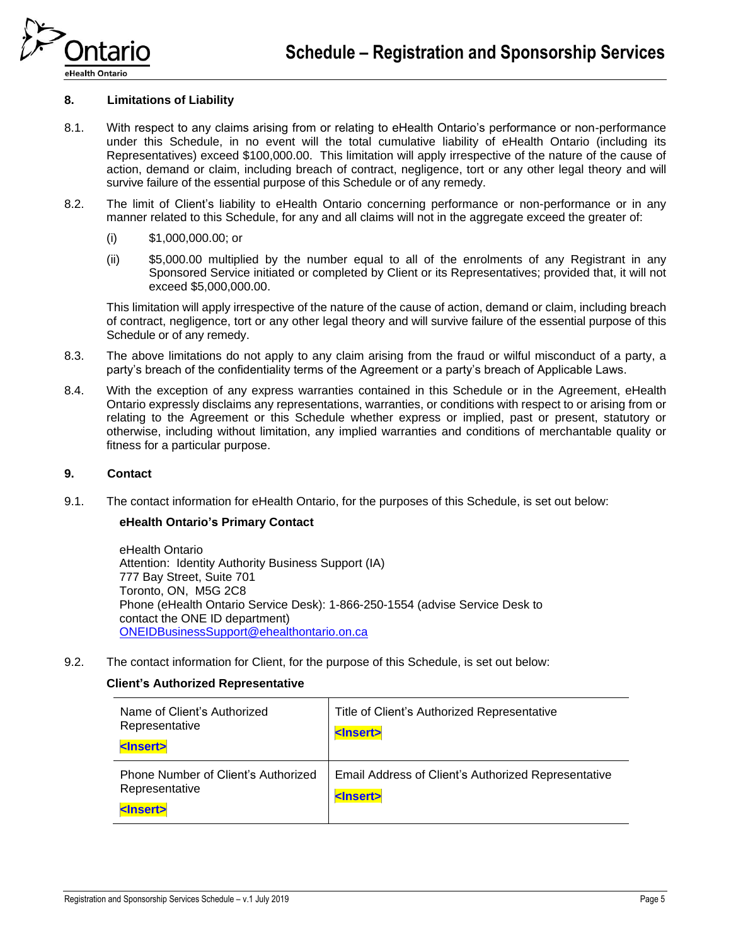

eHealth Ontario

## **8. Limitations of Liability**

- 8.1. With respect to any claims arising from or relating to eHealth Ontario's performance or non-performance under this Schedule, in no event will the total cumulative liability of eHealth Ontario (including its Representatives) exceed \$100,000.00. This limitation will apply irrespective of the nature of the cause of action, demand or claim, including breach of contract, negligence, tort or any other legal theory and will survive failure of the essential purpose of this Schedule or of any remedy.
- 8.2. The limit of Client's liability to eHealth Ontario concerning performance or non-performance or in any manner related to this Schedule, for any and all claims will not in the aggregate exceed the greater of:
	- (i) \$1,000,000.00; or
	- (ii) \$5,000.00 multiplied by the number equal to all of the enrolments of any Registrant in any Sponsored Service initiated or completed by Client or its Representatives; provided that, it will not exceed \$5,000,000.00.

This limitation will apply irrespective of the nature of the cause of action, demand or claim, including breach of contract, negligence, tort or any other legal theory and will survive failure of the essential purpose of this Schedule or of any remedy.

- 8.3. The above limitations do not apply to any claim arising from the fraud or wilful misconduct of a party, a party's breach of the confidentiality terms of the Agreement or a party's breach of Applicable Laws.
- 8.4. With the exception of any express warranties contained in this Schedule or in the Agreement, eHealth Ontario expressly disclaims any representations, warranties, or conditions with respect to or arising from or relating to the Agreement or this Schedule whether express or implied, past or present, statutory or otherwise, including without limitation, any implied warranties and conditions of merchantable quality or fitness for a particular purpose.

#### **9. Contact**

9.1. The contact information for eHealth Ontario, for the purposes of this Schedule, is set out below:

#### **eHealth Ontario's Primary Contact**

eHealth Ontario Attention: Identity Authority Business Support (IA) 777 Bay Street, Suite 701 Toronto, ON, M5G 2C8 Phone (eHealth Ontario Service Desk): 1-866-250-1554 (advise Service Desk to contact the ONE ID department) [ONEIDBusinessSupport@ehealthontario.on.ca](mailto:ONEIDBusinessSupport@ehealthontario.on.ca)

9.2. The contact information for Client, for the purpose of this Schedule, is set out below:

## **Client's Authorized Representative**

| Name of Client's Authorized<br>Representative<br><lnsert></lnsert>         | Title of Client's Authorized Representative<br><lnsert></lnsert>         |
|----------------------------------------------------------------------------|--------------------------------------------------------------------------|
| Phone Number of Client's Authorized<br>Representative<br><lnsert></lnsert> | Email Address of Client's Authorized Representative<br><lnsert></lnsert> |